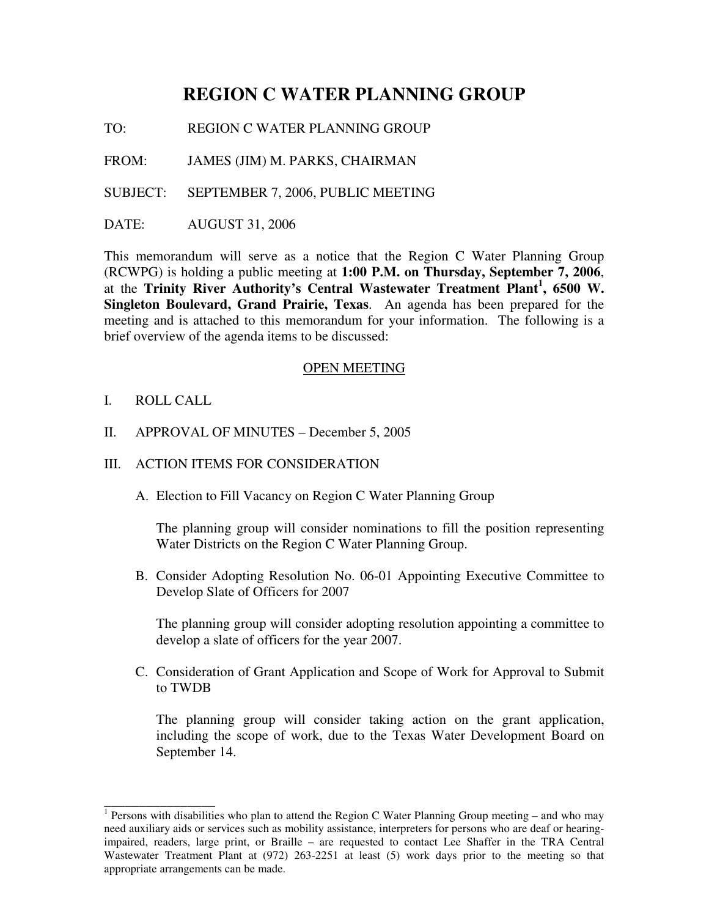# **REGION C WATER PLANNING GROUP**

TO: REGION C WATER PLANNING GROUP

FROM: JAMES (JIM) M. PARKS, CHAIRMAN

SUBJECT: SEPTEMBER 7, 2006, PUBLIC MEETING

DATE: AUGUST 31, 2006

This memorandum will serve as a notice that the Region C Water Planning Group (RCWPG) is holding a public meeting at **1:00 P.M. on Thursday, September 7, 2006**, at the **Trinity River Authority's Central Wastewater Treatment Plant 1 , 6500 W. Singleton Boulevard, Grand Prairie, Texas**. An agenda has been prepared for the meeting and is attached to this memorandum for your information. The following is a brief overview of the agenda items to be discussed:

#### OPEN MEETING

I. ROLL CALL

\_\_\_\_\_\_\_\_\_\_\_\_\_\_\_\_

- II. APPROVAL OF MINUTES December 5, 2005
- III. ACTION ITEMS FOR CONSIDERATION
	- A. Election to Fill Vacancy on Region C Water Planning Group

The planning group will consider nominations to fill the position representing Water Districts on the Region C Water Planning Group.

B. Consider Adopting Resolution No. 06-01 Appointing Executive Committee to Develop Slate of Officers for 2007

The planning group will consider adopting resolution appointing a committee to develop a slate of officers for the year 2007.

C. Consideration of Grant Application and Scope of Work for Approval to Submit to TWDB

The planning group will consider taking action on the grant application, including the scope of work, due to the Texas Water Development Board on September 14.

<sup>&</sup>lt;sup>1</sup> Persons with disabilities who plan to attend the Region C Water Planning Group meeting – and who may need auxiliary aids or services such as mobility assistance, interpreters for persons who are deaf or hearingimpaired, readers, large print, or Braille – are requested to contact Lee Shaffer in the TRA Central Wastewater Treatment Plant at (972) 263-2251 at least (5) work days prior to the meeting so that appropriate arrangements can be made.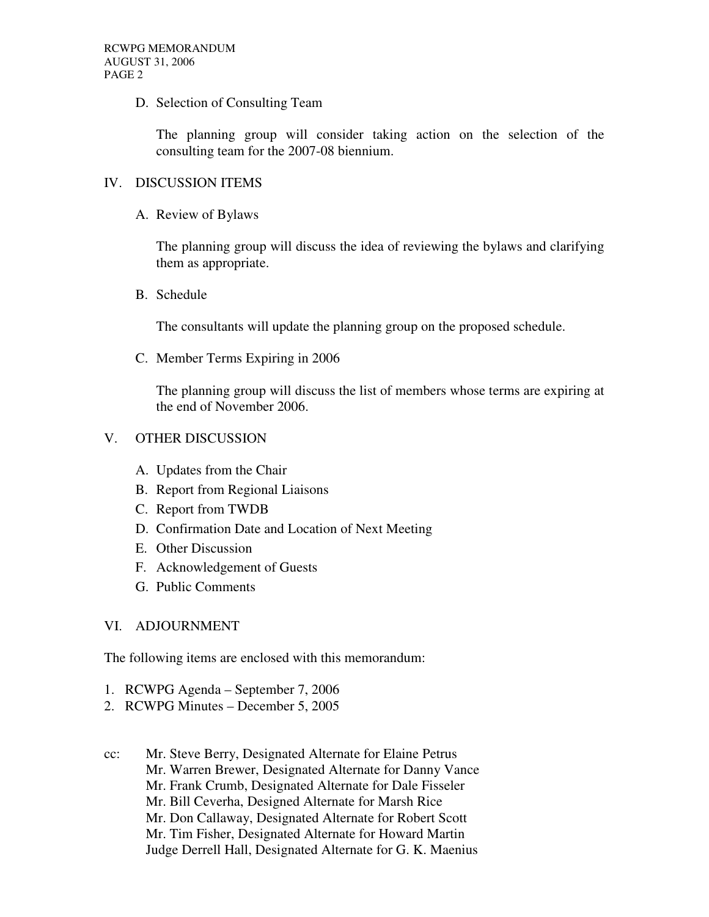D. Selection of Consulting Team

The planning group will consider taking action on the selection of the consulting team for the 2007-08 biennium.

### IV. DISCUSSION ITEMS

A. Review of Bylaws

The planning group will discuss the idea of reviewing the bylaws and clarifying them as appropriate.

B. Schedule

The consultants will update the planning group on the proposed schedule.

C. Member Terms Expiring in 2006

The planning group will discuss the list of members whose terms are expiring at the end of November 2006.

#### V. OTHER DISCUSSION

- A. Updates from the Chair
- B. Report from Regional Liaisons
- C. Report from TWDB
- D. Confirmation Date and Location of Next Meeting
- E. Other Discussion
- F. Acknowledgement of Guests
- G. Public Comments

## VI. ADJOURNMENT

The following items are enclosed with this memorandum:

- 1. RCWPG Agenda September 7, 2006
- 2. RCWPG Minutes December 5, 2005

cc: Mr. Steve Berry, Designated Alternate for Elaine Petrus Mr. Warren Brewer, Designated Alternate for Danny Vance Mr. Frank Crumb, Designated Alternate for Dale Fisseler Mr. Bill Ceverha, Designed Alternate for Marsh Rice Mr. Don Callaway, Designated Alternate for Robert Scott Mr. Tim Fisher, Designated Alternate for Howard Martin Judge Derrell Hall, Designated Alternate for G. K. Maenius